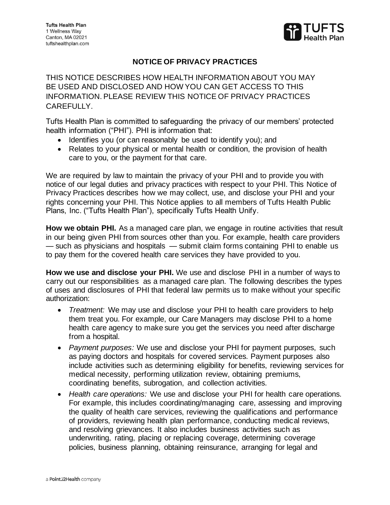

## **NOTICE OF PRIVACY PRACTICES**

THIS NOTICE DESCRIBES HOW HEALTH INFORMATION ABOUT YOU MAY BE USED AND DISCLOSED AND HOW YOU CAN GET ACCESS TO THIS INFORMATION. PLEASE REVIEW THIS NOTICE OF PRIVACY PRACTICES CAREFULLY.

Tufts Health Plan is committed to safeguarding the privacy of our members' protected health information ("PHI"). PHI is information that:

- Identifies you (or can reasonably be used to identify you); and
- Relates to your physical or mental health or condition, the provision of health care to you, or the payment for that care.

We are required by law to maintain the privacy of your PHI and to provide you with notice of our legal duties and privacy practices with respect to your PHI. This Notice of Privacy Practices describes how we may collect, use, and disclose your PHI and your rights concerning your PHI. This Notice applies to all members of Tufts Health Public Plans, Inc. ("Tufts Health Plan"), specifically Tufts Health Unify.

**How we obtain PHI.** As a managed care plan, we engage in routine activities that result in our being given PHI from sources other than you. For example, health care providers — such as physicians and hospitals — submit claim forms containing PHI to enable us to pay them for the covered health care services they have provided to you.

**How we use and disclose your PHI.** We use and disclose PHI in a number of ways to carry out our responsibilities as a managed care plan. The following describes the types of uses and disclosures of PHI that federal law permits us to make without your specific authorization:

- *Treatment:* We may use and disclose your PHI to health care providers to help them treat you. For example, our Care Managers may disclose PHI to a home health care agency to make sure you get the services you need after discharge from a hospital.
- *Payment purposes:* We use and disclose your PHI for payment purposes, such as paying doctors and hospitals for covered services. Payment purposes also include activities such as determining eligibility for benefits, reviewing services for medical necessity, performing utilization review, obtaining premiums, coordinating benefits, subrogation, and collection activities.
- *Health care operations:* We use and disclose your PHI for health care operations. For example, this includes coordinating/managing care, assessing and improving the quality of health care services, reviewing the qualifications and performance of providers, reviewing health plan performance, conducting medical reviews, and resolving grievances. It also includes business activities such as underwriting, rating, placing or replacing coverage, determining coverage policies, business planning, obtaining reinsurance, arranging for legal and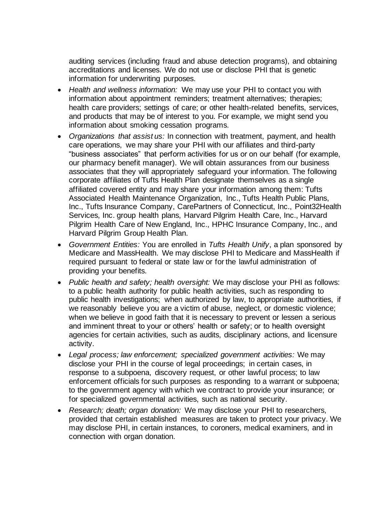auditing services (including fraud and abuse detection programs), and obtaining accreditations and licenses. We do not use or disclose PHI that is genetic information for underwriting purposes.

- *Health and wellness information:* We may use your PHI to contact you with information about appointment reminders; treatment alternatives; therapies; health care providers; settings of care; or other health-related benefits, services, and products that may be of interest to you. For example, we might send you information about smoking cessation programs.
- *Organizations that assist us:* In connection with treatment, payment, and health care operations, we may share your PHI with our affiliates and third-party "business associates" that perform activities for us or on our behalf (for example, our pharmacy benefit manager). We will obtain assurances from our business associates that they will appropriately safeguard your information. The following corporate affiliates of Tufts Health Plan designate themselves as a single affiliated covered entity and may share your information among them: Tufts Associated Health Maintenance Organization, Inc., Tufts Health Public Plans, Inc., Tufts Insurance Company, CarePartners of Connecticut, Inc., Point32Health Services, Inc. group health plans, Harvard Pilgrim Health Care, Inc., Harvard Pilgrim Health Care of New England, Inc., HPHC Insurance Company, Inc., and Harvard Pilgrim Group Health Plan.
- *Government Entities:* You are enrolled in *Tufts Health Unify*, a plan sponsored by Medicare and MassHealth. We may disclose PHI to Medicare and MassHealth if required pursuant to federal or state law or for the lawful administration of providing your benefits.
- *Public health and safety; health oversight:* We may disclose your PHI as follows: to a public health authority for public health activities, such as responding to public health investigations; when authorized by law, to appropriate authorities, if we reasonably believe you are a victim of abuse, neglect, or domestic violence; when we believe in good faith that it is necessary to prevent or lessen a serious and imminent threat to your or others' health or safety; or to health oversight agencies for certain activities, such as audits, disciplinary actions, and licensure activity.
- *Legal process; law enforcement; specialized government activities:* We may disclose your PHI in the course of legal proceedings; in certain cases, in response to a subpoena, discovery request, or other lawful process; to law enforcement officials for such purposes as responding to a warrant or subpoena; to the government agency with which we contract to provide your insurance; or for specialized governmental activities, such as national security.
- *Research; death; organ donation:* We may disclose your PHI to researchers, provided that certain established measures are taken to protect your privacy. We may disclose PHI, in certain instances, to coroners, medical examiners, and in connection with organ donation.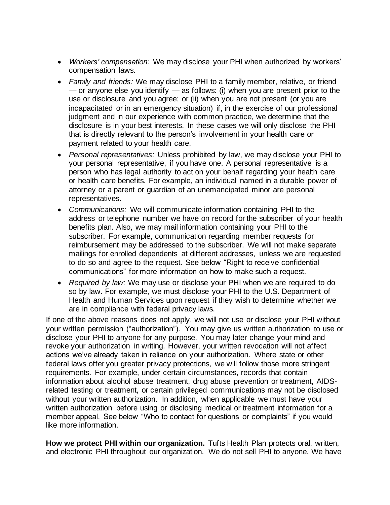- *Workers' compensation:* We may disclose your PHI when authorized by workers' compensation laws.
- *Family and friends:* We may disclose PHI to a family member, relative, or friend — or anyone else you identify — as follows: (i) when you are present prior to the use or disclosure and you agree; or (ii) when you are not present (or you are incapacitated or in an emergency situation) if, in the exercise of our professional judgment and in our experience with common practice, we determine that the disclosure is in your best interests. In these cases we will only disclose the PHI that is directly relevant to the person's involvement in your health care or payment related to your health care.
- *Personal representatives:* Unless prohibited by law, we may disclose your PHI to your personal representative, if you have one. A personal representative is a person who has legal authority to act on your behalf regarding your health care or health care benefits. For example, an individual named in a durable power of attorney or a parent or guardian of an unemancipated minor are personal representatives.
- *Communications:* We will communicate information containing PHI to the address or telephone number we have on record for the subscriber of your health benefits plan. Also, we may mail information containing your PHI to the subscriber. For example, communication regarding member requests for reimbursement may be addressed to the subscriber. We will not make separate mailings for enrolled dependents at different addresses, unless we are requested to do so and agree to the request. See below "Right to receive confidential communications" for more information on how to make such a request.
- *Required by law:* We may use or disclose your PHI when we are required to do so by law. For example, we must disclose your PHI to the U.S. Department of Health and Human Services upon request if they wish to determine whether we are in compliance with federal privacy laws.

If one of the above reasons does not apply, we will not use or disclose your PHI without your written permission ("authorization"). You may give us written authorization to use or disclose your PHI to anyone for any purpose. You may later change your mind and revoke your authorization in writing. However, your written revocation will not affect actions we've already taken in reliance on your authorization. Where state or other federal laws offer you greater privacy protections, we will follow those more stringent requirements. For example, under certain circumstances, records that contain information about alcohol abuse treatment, drug abuse prevention or treatment, AIDSrelated testing or treatment, or certain privileged communications may not be disclosed without your written authorization. In addition, when applicable we must have your written authorization before using or disclosing medical or treatment information for a member appeal. See below "Who to contact for questions or complaints" if you would like more information.

**How we protect PHI within our organization.** Tufts Health Plan protects oral, written, and electronic PHI throughout our organization. We do not sell PHI to anyone. We have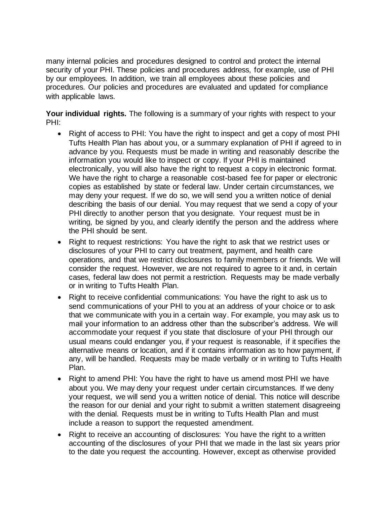many internal policies and procedures designed to control and protect the internal security of your PHI. These policies and procedures address, for example, use of PHI by our employees. In addition, we train all employees about these policies and procedures. Our policies and procedures are evaluated and updated for compliance with applicable laws.

Your individual rights. The following is a summary of your rights with respect to your PHI:

- Right of access to PHI: You have the right to inspect and get a copy of most PHI Tufts Health Plan has about you, or a summary explanation of PHI if agreed to in advance by you. Requests must be made in writing and reasonably describe the information you would like to inspect or copy. If your PHI is maintained electronically, you will also have the right to request a copy in electronic format. We have the right to charge a reasonable cost-based fee for paper or electronic copies as established by state or federal law. Under certain circumstances, we may deny your request. If we do so, we will send you a written notice of denial describing the basis of our denial. You may request that we send a copy of your PHI directly to another person that you designate. Your request must be in writing, be signed by you, and clearly identify the person and the address where the PHI should be sent.
- Right to request restrictions: You have the right to ask that we restrict uses or disclosures of your PHI to carry out treatment, payment, and health care operations, and that we restrict disclosures to family members or friends. We will consider the request. However, we are not required to agree to it and, in certain cases, federal law does not permit a restriction. Requests may be made verbally or in writing to Tufts Health Plan.
- Right to receive confidential communications: You have the right to ask us to send communications of your PHI to you at an address of your choice or to ask that we communicate with you in a certain way. For example, you may ask us to mail your information to an address other than the subscriber's address. We will accommodate your request if you state that disclosure of your PHI through our usual means could endanger you, if your request is reasonable, if it specifies the alternative means or location, and if it contains information as to how payment, if any, will be handled. Requests may be made verbally or in writing to Tufts Health Plan.
- Right to amend PHI: You have the right to have us amend most PHI we have about you. We may deny your request under certain circumstances. If we deny your request, we will send you a written notice of denial. This notice will describe the reason for our denial and your right to submit a written statement disagreeing with the denial. Requests must be in writing to Tufts Health Plan and must include a reason to support the requested amendment.
- Right to receive an accounting of disclosures: You have the right to a written accounting of the disclosures of your PHI that we made in the last six years prior to the date you request the accounting. However, except as otherwise provided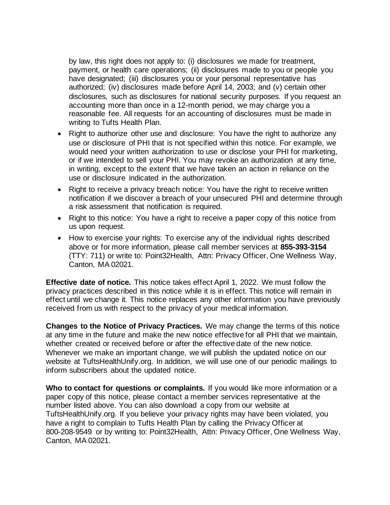by law, this right does not apply to: (i) disclosures we made for treatment, payment, or health care operations; (ii) disclosures made to you or people you have designated; (iii) disclosures you or your personal representative has authorized; (iv) disclosures made before April 14, 2003; and (v) certain other disclosures, such as disclosures for national security purposes. If you request an accounting more than once in a 12-month period, we may charge you a reasonable fee. All requests for an accounting of disclosures must be made in writing to Tufts Health Plan.

- Right to authorize other use and disclosure: You have the right to authorize any use or disclosure of PHI that is not specified within this notice. For example, we would need your written authorization to use or disclose your PHI for marketing, or if we intended to sell your PHI. You may revoke an authorization at any time, in writing, except to the extent that we have taken an action in reliance on the use or disclosure indicated in the authorization.
- Right to receive a privacy breach notice: You have the right to receive written notification if we discover a breach of your unsecured PHI and determine through a risk assessment that notification is required.
- Right to this notice: You have a right to receive a paper copy of this notice from us upon request.
- How to exercise your rights: To exercise any of the individual rights described above or for more information, please call member services at **855-393-3154**  (TTY: 711) or write to: Point32Health, Attn: Privacy Officer, One Wellness Way, Canton, MA 02021.

**Effective date of notice.** This notice takes effect April 1, 2022. We must follow the privacy practices described in this notice while it is in effect. This notice will remain in effect until we change it. This notice replaces any other information you have previously received from us with respect to the privacy of your medical information.

**Changes to the Notice of Privacy Practices.** We may change the terms of this notice at any time in the future and make the new notice effective for all PHI that we maintain, whether created or received before or after the effective date of the new notice. Whenever we make an important change, we will publish the updated notice on our website at TuftsHealthUnify.org. In addition, we will use one of our periodic mailings to inform subscribers about the updated notice.

**Who to contact for questions or complaints.** If you would like more information or a paper copy of this notice, please contact a member services representative at the number listed above. You can also download a copy from our website at TuftsHealthUnify.org. If you believe your privacy rights may have been violated, you have a right to complain to Tufts Health Plan by calling the Privacy Officer at 800-208-9549 or by writing to: Point32Health, Attn: Privacy Officer, One Wellness Way, Canton, MA 02021.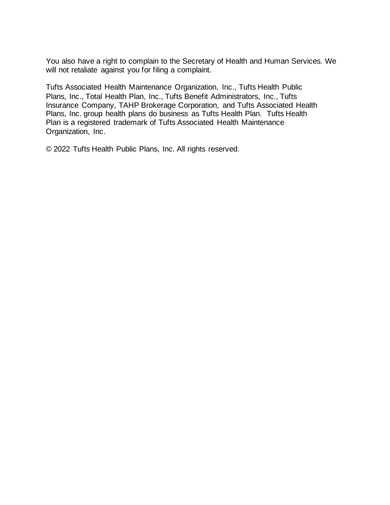You also have a right to complain to the Secretary of Health and Human Services. We will not retaliate against you for filing a complaint.

Tufts Associated Health Maintenance Organization, Inc., Tufts Health Public Plans, Inc., Total Health Plan, Inc., Tufts Benefit Administrators, Inc., Tufts Insurance Company, TAHP Brokerage Corporation, and Tufts Associated Health Plans, Inc. group health plans do business as Tufts Health Plan. Tufts Health Plan is a registered trademark of Tufts Associated Health Maintenance Organization, Inc.

© 2022 Tufts Health Public Plans, Inc. All rights reserved.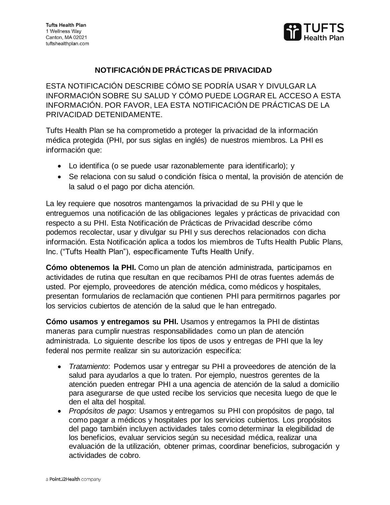

## **NOTIFICACIÓN DE PRÁCTICAS DE PRIVACIDAD**

ESTA NOTIFICACIÓN DESCRIBE CÓMO SE PODRÍA USAR Y DIVULGAR LA INFORMACIÓN SOBRE SU SALUD Y CÓMO PUEDE LOGRAR EL ACCESO A ESTA INFORMACIÓN. POR FAVOR, LEA ESTA NOTIFICACIÓN DE PRÁCTICAS DE LA PRIVACIDAD DETENIDAMENTE.

Tufts Health Plan se ha comprometido a proteger la privacidad de la información médica protegida (PHI, por sus siglas en inglés) de nuestros miembros. La PHI es información que:

- Lo identifica (o se puede usar razonablemente para identificarlo); y
- Se relaciona con su salud o condición física o mental, la provisión de atención de la salud o el pago por dicha atención.

La ley requiere que nosotros mantengamos la privacidad de su PHI y que le entreguemos una notificación de las obligaciones legales y prácticas de privacidad con respecto a su PHI. Esta Notificación de Prácticas de Privacidad describe cómo podemos recolectar, usar y divulgar su PHI y sus derechos relacionados con dicha información. Esta Notificación aplica a todos los miembros de Tufts Health Public Plans, Inc. ("Tufts Health Plan"), específicamente Tufts Health Unify.

**Cómo obtenemos la PHI.** Como un plan de atención administrada, participamos en actividades de rutina que resultan en que recibamos PHI de otras fuentes además de usted. Por ejemplo, proveedores de atención médica, como médicos y hospitales, presentan formularios de reclamación que contienen PHI para permitirnos pagarles por los servicios cubiertos de atención de la salud que le han entregado.

**Cómo usamos y entregamos su PHI.** Usamos y entregamos la PHI de distintas maneras para cumplir nuestras responsabilidades como un plan de atención administrada. Lo siguiente describe los tipos de usos y entregas de PHI que la ley federal nos permite realizar sin su autorización especifíca:

- *Tratamiento*: Podemos usar y entregar su PHI a proveedores de atención de la salud para ayudarlos a que lo traten. Por ejemplo, nuestros gerentes de la atención pueden entregar PHI a una agencia de atención de la salud a domicilio para asegurarse de que usted recibe los servicios que necesita luego de que le den el alta del hospital.
- *Propósitos de pago*: Usamos y entregamos su PHI con propósitos de pago, tal como pagar a médicos y hospitales por los servicios cubiertos. Los propósitos del pago también incluyen actividades tales como determinar la elegibilidad de los beneficios, evaluar servicios según su necesidad médica, realizar una evaluación de la utilización, obtener primas, coordinar beneficios, subrogación y actividades de cobro.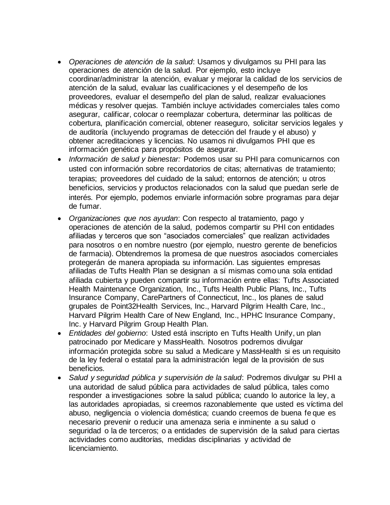- *Operaciones de atención de la salud*: Usamos y divulgamos su PHI para las operaciones de atención de la salud. Por ejemplo, esto incluye coordinar/administrar la atención, evaluar y mejorar la calidad de los servicios de atención de la salud, evaluar las cualificaciones y el desempeño de los proveedores, evaluar el desempeño del plan de salud, realizar evaluaciones médicas y resolver quejas. También incluye actividades comerciales tales como asegurar, calificar, colocar o reemplazar cobertura, determinar las políticas de cobertura, planificación comercial, obtener reaseguro, solicitar servicios legales y de auditoría (incluyendo programas de detección del fraude y el abuso) y obtener acreditaciones y licencias. No usamos ni divulgamos PHI que es información genética para propósitos de asegurar.
- *Información de salud y bienestar:* Podemos usar su PHI para comunicarnos con usted con información sobre recordatorios de citas; alternativas de tratamiento; terapias; proveedores del cuidado de la salud; entornos de atención; u otros beneficios, servicios y productos relacionados con la salud que puedan serle de interés. Por ejemplo, podemos enviarle información sobre programas para dejar de fumar.
- *Organizaciones que nos ayudan*: Con respecto al tratamiento, pago y operaciones de atención de la salud, podemos compartir su PHI con entidades afiliadas y terceros que son "asociados comerciales" que realizan actividades para nosotros o en nombre nuestro (por ejemplo, nuestro gerente de beneficios de farmacia). Obtendremos la promesa de que nuestros asociados comerciales protegerán de manera apropiada su información. Las siguientes empresas afiliadas de Tufts Health Plan se designan a sí mismas como una sola entidad afiliada cubierta y pueden compartir su información entre ellas: Tufts Associated Health Maintenance Organization, Inc., Tufts Health Public Plans, Inc., Tufts Insurance Company, CarePartners of Connecticut, Inc., los planes de salud grupales de Point32Health Services, Inc., Harvard Pilgrim Health Care, Inc., Harvard Pilgrim Health Care of New England, Inc., HPHC Insurance Company, Inc. y Harvard Pilgrim Group Health Plan.
- *Entidades del gobierno*: Usted está inscripto en Tufts Health Unify, un plan patrocinado por Medicare y MassHealth. Nosotros podremos divulgar información protegida sobre su salud a Medicare y MassHealth si es un requisito de la ley federal o estatal para la administración legal de la provisión de sus beneficios.
- *Salud y seguridad pública y supervisión de la salud*: Podremos divulgar su PHI a una autoridad de salud pública para actividades de salud pública, tales como responder a investigaciones sobre la salud pública; cuando lo autorice la ley, a las autoridades apropiadas, si creemos razonablemente que usted es víctima del abuso, negligencia o violencia doméstica; cuando creemos de buena fe que es necesario prevenir o reducir una amenaza seria e inminente a su salud o seguridad o la de terceros; o a entidades de supervisión de la salud para ciertas actividades como auditorías, medidas disciplinarias y actividad de licenciamiento.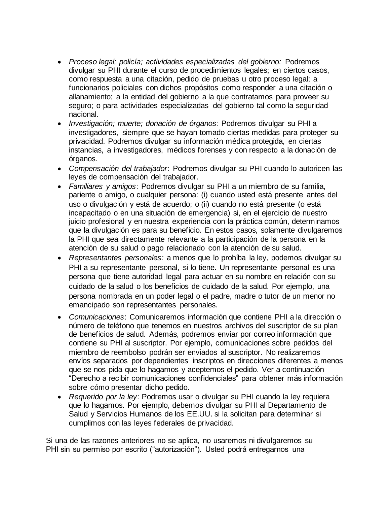- *Proceso legal; policía; actividades especializadas del gobierno:* Podremos divulgar su PHI durante el curso de procedimientos legales; en ciertos casos, como respuesta a una citación, pedido de pruebas u otro proceso legal; a funcionarios policiales con dichos propósitos como responder a una citación o allanamiento; a la entidad del gobierno a la que contratamos para proveer su seguro; o para actividades especializadas del gobierno tal como la seguridad nacional.
- *Investigación; muerte; donación de órganos*: Podremos divulgar su PHI a investigadores, siempre que se hayan tomado ciertas medidas para proteger su privacidad. Podremos divulgar su información médica protegida, en ciertas instancias, a investigadores, médicos forenses y con respecto a la donación de órganos.
- *Compensación del trabajador*: Podremos divulgar su PHI cuando lo autoricen las leyes de compensación del trabajador.
- *Familiares y amigos*: Podremos divulgar su PHI a un miembro de su familia, pariente o amigo, o cualquier persona: (i) cuando usted está presente antes del uso o divulgación y está de acuerdo; o (ii) cuando no está presente (o está incapacitado o en una situación de emergencia) si, en el ejercicio de nuestro juicio profesional y en nuestra experiencia con la práctica común, determinamos que la divulgación es para su beneficio. En estos casos, solamente divulgaremos la PHI que sea directamente relevante a la participación de la persona en la atención de su salud o pago relacionado con la atención de su salud.
- *Representantes personales:* a menos que lo prohíba la ley, podemos divulgar su PHI a su representante personal, si lo tiene. Un representante personal es una persona que tiene autoridad legal para actuar en su nombre en relación con su cuidado de la salud o los beneficios de cuidado de la salud. Por ejemplo, una persona nombrada en un poder legal o el padre, madre o tutor de un menor no emancipado son representantes personales.
- *Comunicaciones*: Comunicaremos información que contiene PHI a la dirección o número de teléfono que tenemos en nuestros archivos del suscriptor de su plan de beneficios de salud. Además, podremos enviar por correo información que contiene su PHI al suscriptor. Por ejemplo, comunicaciones sobre pedidos del miembro de reembolso podrán ser enviados al suscriptor. No realizaremos envíos separados por dependientes inscriptos en direcciones diferentes a menos que se nos pida que lo hagamos y aceptemos el pedido. Ver a continuación "Derecho a recibir comunicaciones confidenciales" para obtener más información sobre cómo presentar dicho pedido.
- *Requerido por la ley*: Podremos usar o divulgar su PHI cuando la ley requiera que lo hagamos. Por ejemplo, debemos divulgar su PHI al Departamento de Salud y Servicios Humanos de los EE.UU. si la solicitan para determinar si cumplimos con las leyes federales de privacidad.

Si una de las razones anteriores no se aplica, no usaremos ni divulgaremos su PHI sin su permiso por escrito ("autorización"). Usted podrá entregarnos una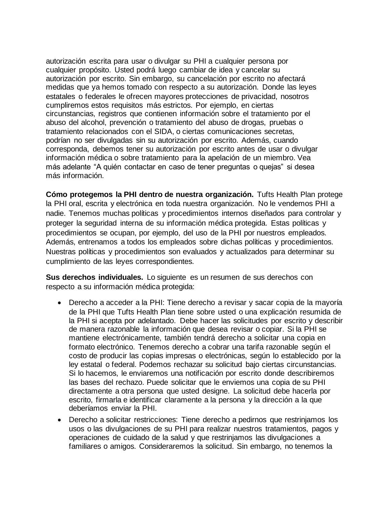autorización escrita para usar o divulgar su PHI a cualquier persona por cualquier propósito. Usted podrá luego cambiar de idea y cancelar su autorización por escrito. Sin embargo, su cancelación por escrito no afectará medidas que ya hemos tomado con respecto a su autorización. Donde las leyes estatales o federales le ofrecen mayores protecciones de privacidad, nosotros cumpliremos estos requisitos más estrictos. Por ejemplo, en ciertas circunstancias, registros que contienen información sobre el tratamiento por el abuso del alcohol, prevención o tratamiento del abuso de drogas, pruebas o tratamiento relacionados con el SIDA, o ciertas comunicaciones secretas, podrían no ser divulgadas sin su autorización por escrito. Además, cuando corresponda, debemos tener su autorización por escrito antes de usar o divulgar información médica o sobre tratamiento para la apelación de un miembro. Vea más adelante "A quién contactar en caso de tener preguntas o quejas" si desea más información.

**Cómo protegemos la PHI dentro de nuestra organización.** Tufts Health Plan protege la PHI oral, escrita y electrónica en toda nuestra organización. No le vendemos PHI a nadie. Tenemos muchas políticas y procedimientos internos diseñados para controlar y proteger la seguridad interna de su información médica protegida. Estas políticas y procedimientos se ocupan, por ejemplo, del uso de la PHI por nuestros empleados. Además, entrenamos a todos los empleados sobre dichas políticas y procedimientos. Nuestras políticas y procedimientos son evaluados y actualizados para determinar su cumplimiento de las leyes correspondientes.

**Sus derechos individuales.** Lo siguiente es un resumen de sus derechos con respecto a su información médica protegida:

- Derecho a acceder a la PHI: Tiene derecho a revisar y sacar copia de la mayoría de la PHI que Tufts Health Plan tiene sobre usted o una explicación resumida de la PHI si acepta por adelantado. Debe hacer las solicitudes por escrito y describir de manera razonable la información que desea revisar o copiar. Si la PHI se mantiene electrónicamente, también tendrá derecho a solicitar una copia en formato electrónico. Tenemos derecho a cobrar una tarifa razonable según el costo de producir las copias impresas o electrónicas, según lo establecido por la ley estatal o federal. Podemos rechazar su solicitud bajo ciertas circunstancias. Si lo hacemos, le enviaremos una notificación por escrito donde describiremos las bases del rechazo. Puede solicitar que le enviemos una copia de su PHI directamente a otra persona que usted designe. La solicitud debe hacerla por escrito, firmarla e identificar claramente a la persona y la dirección a la que deberíamos enviar la PHI.
- Derecho a solicitar restricciones: Tiene derecho a pedirnos que restrinjamos los usos o las divulgaciones de su PHI para realizar nuestros tratamientos, pagos y operaciones de cuidado de la salud y que restrinjamos las divulgaciones a familiares o amigos. Consideraremos la solicitud. Sin embargo, no tenemos la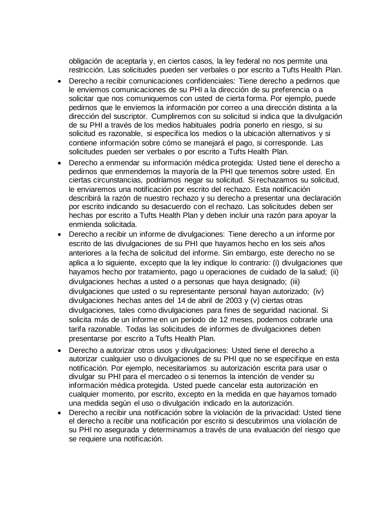obligación de aceptarla y, en ciertos casos, la ley federal no nos permite una restricción. Las solicitudes pueden ser verbales o por escrito a Tufts Health Plan.

- Derecho a recibir comunicaciones confidenciales: Tiene derecho a pedirnos que le enviemos comunicaciones de su PHI a la dirección de su preferencia o a solicitar que nos comuniquemos con usted de cierta forma. Por ejemplo, puede pedirnos que le enviemos la información por correo a una dirección distinta a la dirección del suscriptor. Cumpliremos con su solicitud si indica que la divulgación de su PHI a través de los medios habituales podría ponerlo en riesgo, si su solicitud es razonable, si especifica los medios o la ubicación alternativos y si contiene información sobre cómo se manejará el pago, si corresponde. Las solicitudes pueden ser verbales o por escrito a Tufts Health Plan.
- Derecho a enmendar su información médica protegida: Usted tiene el derecho a pedirnos que enmendemos la mayoría de la PHI que tenemos sobre usted. En ciertas circunstancias, podríamos negar su solicitud. Si rechazamos su solicitud, le enviaremos una notificación por escrito del rechazo. Esta notificación describirá la razón de nuestro rechazo y su derecho a presentar una declaración por escrito indicando su desacuerdo con el rechazo. Las solicitudes deben ser hechas por escrito a Tufts Health Plan y deben incluir una razón para apoyar la enmienda solicitada.
- Derecho a recibir un informe de divulgaciones: Tiene derecho a un informe por escrito de las divulgaciones de su PHI que hayamos hecho en los seis años anteriores a la fecha de solicitud del informe. Sin embargo, este derecho no se aplica a lo siguiente, excepto que la ley indique lo contrario: (i) divulgaciones que hayamos hecho por tratamiento, pago u operaciones de cuidado de la salud; (ii) divulgaciones hechas a usted o a personas que haya designado; (iii) divulgaciones que usted o su representante personal hayan autorizado; (iv) divulgaciones hechas antes del 14 de abril de 2003 y (v) ciertas otras divulgaciones, tales como divulgaciones para fines de seguridad nacional. Si solicita más de un informe en un período de 12 meses, podemos cobrarle una tarifa razonable. Todas las solicitudes de informes de divulgaciones deben presentarse por escrito a Tufts Health Plan.
- Derecho a autorizar otros usos y divulgaciones: Usted tiene el derecho a autorizar cualquier uso o divulgaciones de su PHI que no se especifique en esta notificación. Por ejemplo, necesitaríamos su autorización escrita para usar o divulgar su PHI para el mercadeo o si tenemos la intención de vender su información médica protegida. Usted puede cancelar esta autorización en cualquier momento, por escrito, excepto en la medida en que hayamos tomado una medida según el uso o divulgación indicado en la autorización.
- Derecho a recibir una notificación sobre la violación de la privacidad: Usted tiene el derecho a recibir una notificación por escrito si descubrimos una violación de su PHI no asegurada y determinamos a través de una evaluación del riesgo que se requiere una notificación.